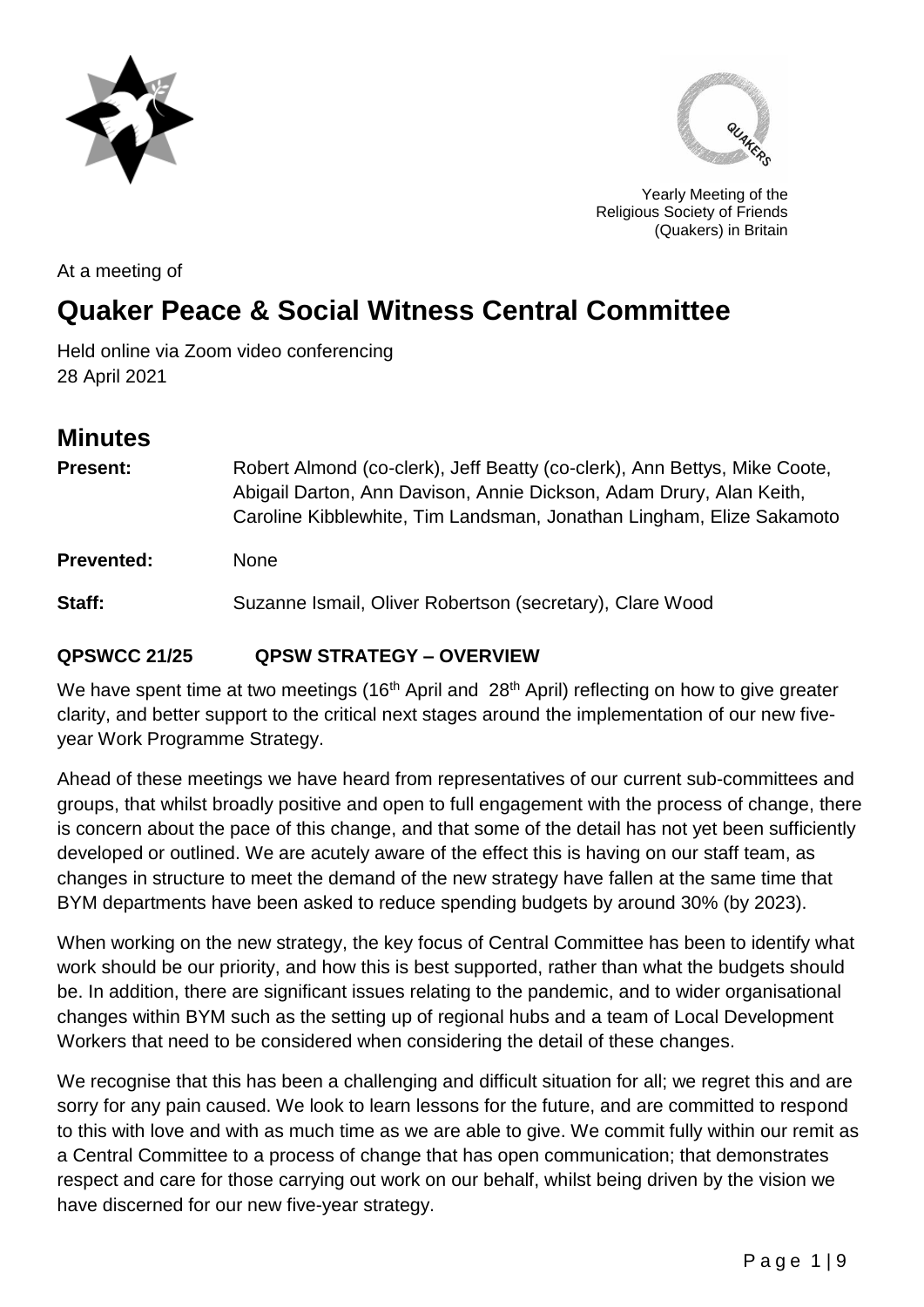



Yearly Meeting of the Religious Society of Friends (Quakers) in Britain

At a meeting of

# **Quaker Peace & Social Witness Central Committee**

Held online via Zoom video conferencing 28 April 2021

# **Minutes**

| <b>Present:</b>   | Robert Almond (co-clerk), Jeff Beatty (co-clerk), Ann Bettys, Mike Coote,<br>Abigail Darton, Ann Davison, Annie Dickson, Adam Drury, Alan Keith,<br>Caroline Kibblewhite, Tim Landsman, Jonathan Lingham, Elize Sakamoto |
|-------------------|--------------------------------------------------------------------------------------------------------------------------------------------------------------------------------------------------------------------------|
| <b>Prevented:</b> | <b>None</b>                                                                                                                                                                                                              |
| Staff:            | Suzanne Ismail, Oliver Robertson (secretary), Clare Wood                                                                                                                                                                 |
|                   |                                                                                                                                                                                                                          |

# **QPSWCC 21/25 QPSW STRATEGY – OVERVIEW**

We have spent time at two meetings (16<sup>th</sup> April and 28<sup>th</sup> April) reflecting on how to give greater clarity, and better support to the critical next stages around the implementation of our new fiveyear Work Programme Strategy.

Ahead of these meetings we have heard from representatives of our current sub-committees and groups, that whilst broadly positive and open to full engagement with the process of change, there is concern about the pace of this change, and that some of the detail has not yet been sufficiently developed or outlined. We are acutely aware of the effect this is having on our staff team, as changes in structure to meet the demand of the new strategy have fallen at the same time that BYM departments have been asked to reduce spending budgets by around 30% (by 2023).

When working on the new strategy, the key focus of Central Committee has been to identify what work should be our priority, and how this is best supported, rather than what the budgets should be. In addition, there are significant issues relating to the pandemic, and to wider organisational changes within BYM such as the setting up of regional hubs and a team of Local Development Workers that need to be considered when considering the detail of these changes.

We recognise that this has been a challenging and difficult situation for all; we regret this and are sorry for any pain caused. We look to learn lessons for the future, and are committed to respond to this with love and with as much time as we are able to give. We commit fully within our remit as a Central Committee to a process of change that has open communication; that demonstrates respect and care for those carrying out work on our behalf, whilst being driven by the vision we have discerned for our new five-year strategy.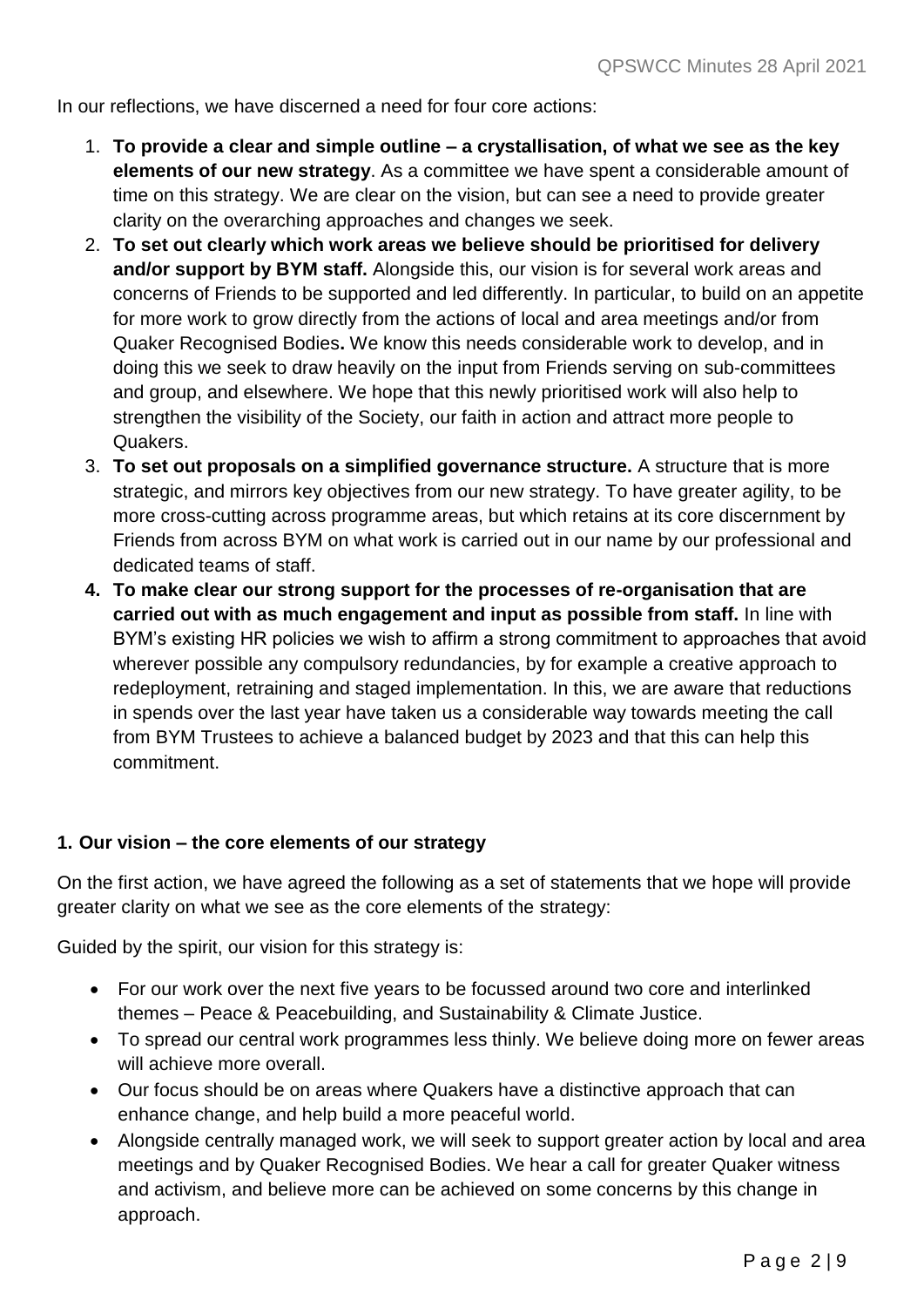In our reflections, we have discerned a need for four core actions:

- 1. **To provide a clear and simple outline – a crystallisation, of what we see as the key elements of our new strategy**. As a committee we have spent a considerable amount of time on this strategy. We are clear on the vision, but can see a need to provide greater clarity on the overarching approaches and changes we seek.
- 2. **To set out clearly which work areas we believe should be prioritised for delivery and/or support by BYM staff.** Alongside this, our vision is for several work areas and concerns of Friends to be supported and led differently. In particular, to build on an appetite for more work to grow directly from the actions of local and area meetings and/or from Quaker Recognised Bodies**.** We know this needs considerable work to develop, and in doing this we seek to draw heavily on the input from Friends serving on sub-committees and group, and elsewhere. We hope that this newly prioritised work will also help to strengthen the visibility of the Society, our faith in action and attract more people to Quakers.
- 3. **To set out proposals on a simplified governance structure.** A structure that is more strategic, and mirrors key objectives from our new strategy. To have greater agility, to be more cross-cutting across programme areas, but which retains at its core discernment by Friends from across BYM on what work is carried out in our name by our professional and dedicated teams of staff.
- **4. To make clear our strong support for the processes of re-organisation that are carried out with as much engagement and input as possible from staff.** In line with BYM's existing HR policies we wish to affirm a strong commitment to approaches that avoid wherever possible any compulsory redundancies, by for example a creative approach to redeployment, retraining and staged implementation. In this, we are aware that reductions in spends over the last year have taken us a considerable way towards meeting the call from BYM Trustees to achieve a balanced budget by 2023 and that this can help this commitment.

#### **1. Our vision – the core elements of our strategy**

On the first action, we have agreed the following as a set of statements that we hope will provide greater clarity on what we see as the core elements of the strategy:

Guided by the spirit, our vision for this strategy is:

- For our work over the next five years to be focussed around two core and interlinked themes – Peace & Peacebuilding, and Sustainability & Climate Justice.
- To spread our central work programmes less thinly. We believe doing more on fewer areas will achieve more overall.
- Our focus should be on areas where Quakers have a distinctive approach that can enhance change, and help build a more peaceful world.
- Alongside centrally managed work, we will seek to support greater action by local and area meetings and by Quaker Recognised Bodies. We hear a call for greater Quaker witness and activism, and believe more can be achieved on some concerns by this change in approach.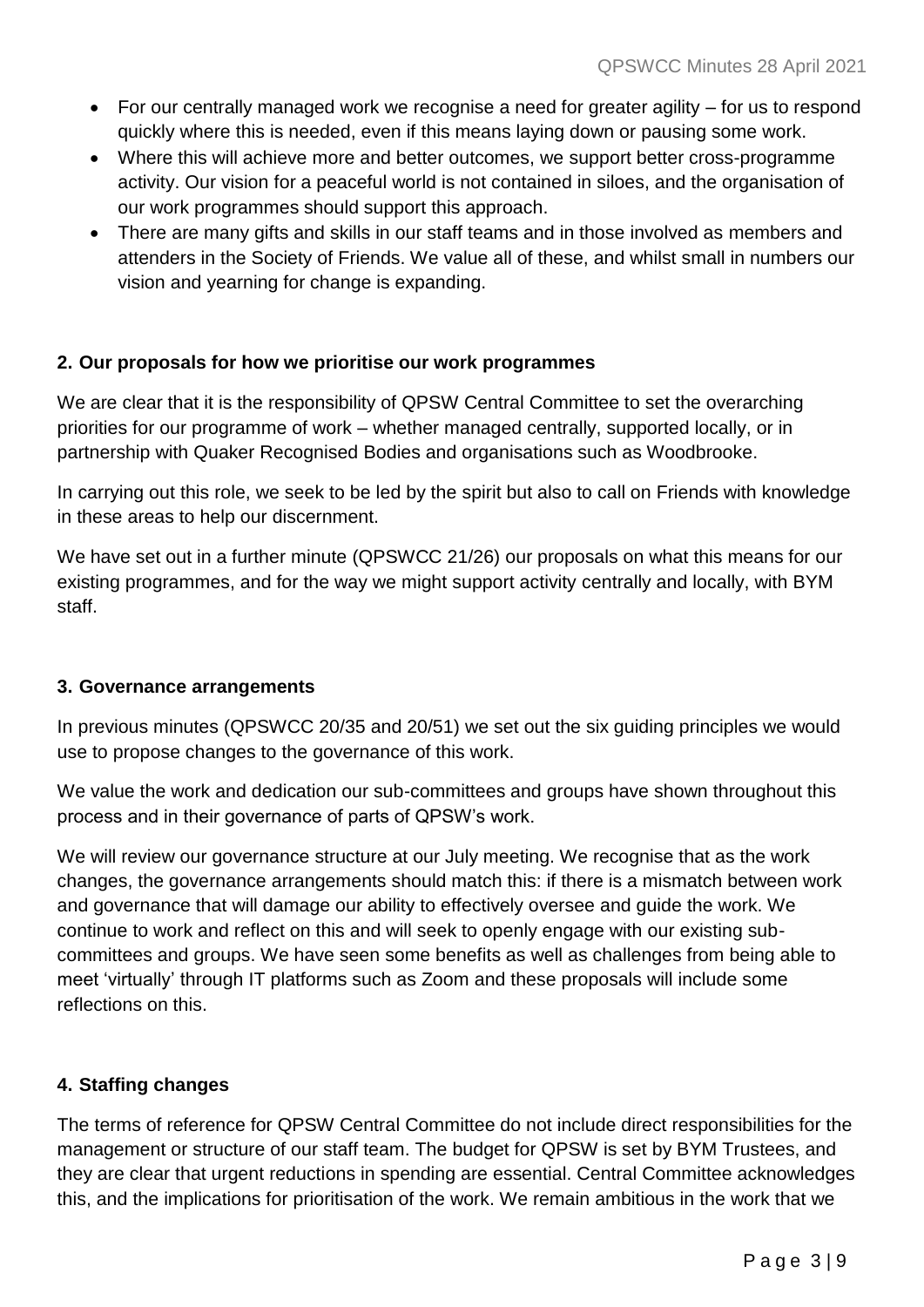- For our centrally managed work we recognise a need for greater agility for us to respond quickly where this is needed, even if this means laying down or pausing some work.
- Where this will achieve more and better outcomes, we support better cross-programme activity. Our vision for a peaceful world is not contained in siloes, and the organisation of our work programmes should support this approach.
- There are many gifts and skills in our staff teams and in those involved as members and attenders in the Society of Friends. We value all of these, and whilst small in numbers our vision and yearning for change is expanding.

#### **2. Our proposals for how we prioritise our work programmes**

We are clear that it is the responsibility of QPSW Central Committee to set the overarching priorities for our programme of work – whether managed centrally, supported locally, or in partnership with Quaker Recognised Bodies and organisations such as Woodbrooke.

In carrying out this role, we seek to be led by the spirit but also to call on Friends with knowledge in these areas to help our discernment.

We have set out in a further minute (QPSWCC 21/26) our proposals on what this means for our existing programmes, and for the way we might support activity centrally and locally, with BYM staff.

#### **3. Governance arrangements**

In previous minutes (QPSWCC 20/35 and 20/51) we set out the six guiding principles we would use to propose changes to the governance of this work.

We value the work and dedication our sub-committees and groups have shown throughout this process and in their governance of parts of QPSW's work.

We will review our governance structure at our July meeting. We recognise that as the work changes, the governance arrangements should match this: if there is a mismatch between work and governance that will damage our ability to effectively oversee and guide the work. We continue to work and reflect on this and will seek to openly engage with our existing subcommittees and groups. We have seen some benefits as well as challenges from being able to meet 'virtually' through IT platforms such as Zoom and these proposals will include some reflections on this.

#### **4. Staffing changes**

The terms of reference for QPSW Central Committee do not include direct responsibilities for the management or structure of our staff team. The budget for QPSW is set by BYM Trustees, and they are clear that urgent reductions in spending are essential. Central Committee acknowledges this, and the implications for prioritisation of the work. We remain ambitious in the work that we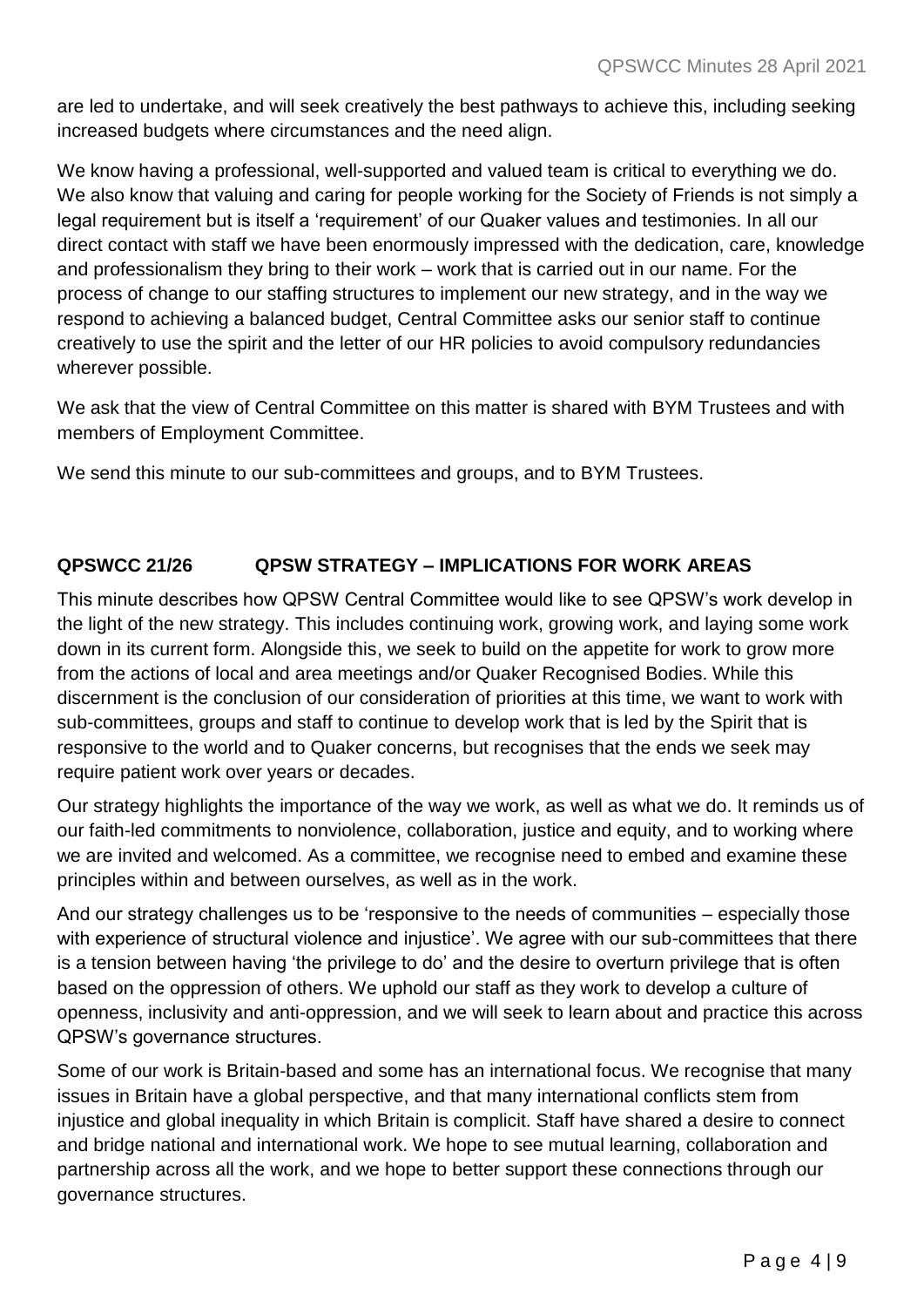are led to undertake, and will seek creatively the best pathways to achieve this, including seeking increased budgets where circumstances and the need align.

We know having a professional, well-supported and valued team is critical to everything we do. We also know that valuing and caring for people working for the Society of Friends is not simply a legal requirement but is itself a 'requirement' of our Quaker values and testimonies. In all our direct contact with staff we have been enormously impressed with the dedication, care, knowledge and professionalism they bring to their work – work that is carried out in our name. For the process of change to our staffing structures to implement our new strategy, and in the way we respond to achieving a balanced budget, Central Committee asks our senior staff to continue creatively to use the spirit and the letter of our HR policies to avoid compulsory redundancies wherever possible.

We ask that the view of Central Committee on this matter is shared with BYM Trustees and with members of Employment Committee.

We send this minute to our sub-committees and groups, and to BYM Trustees.

# **QPSWCC 21/26 QPSW STRATEGY – IMPLICATIONS FOR WORK AREAS**

This minute describes how QPSW Central Committee would like to see QPSW's work develop in the light of the new strategy. This includes continuing work, growing work, and laying some work down in its current form. Alongside this, we seek to build on the appetite for work to grow more from the actions of local and area meetings and/or Quaker Recognised Bodies. While this discernment is the conclusion of our consideration of priorities at this time, we want to work with sub-committees, groups and staff to continue to develop work that is led by the Spirit that is responsive to the world and to Quaker concerns, but recognises that the ends we seek may require patient work over years or decades.

Our strategy highlights the importance of the way we work, as well as what we do. It reminds us of our faith-led commitments to nonviolence, collaboration, justice and equity, and to working where we are invited and welcomed. As a committee, we recognise need to embed and examine these principles within and between ourselves, as well as in the work.

And our strategy challenges us to be 'responsive to the needs of communities – especially those with experience of structural violence and injustice'. We agree with our sub-committees that there is a tension between having 'the privilege to do' and the desire to overturn privilege that is often based on the oppression of others. We uphold our staff as they work to develop a culture of openness, inclusivity and anti-oppression, and we will seek to learn about and practice this across QPSW's governance structures.

Some of our work is Britain-based and some has an international focus. We recognise that many issues in Britain have a global perspective, and that many international conflicts stem from injustice and global inequality in which Britain is complicit. Staff have shared a desire to connect and bridge national and international work. We hope to see mutual learning, collaboration and partnership across all the work, and we hope to better support these connections through our governance structures.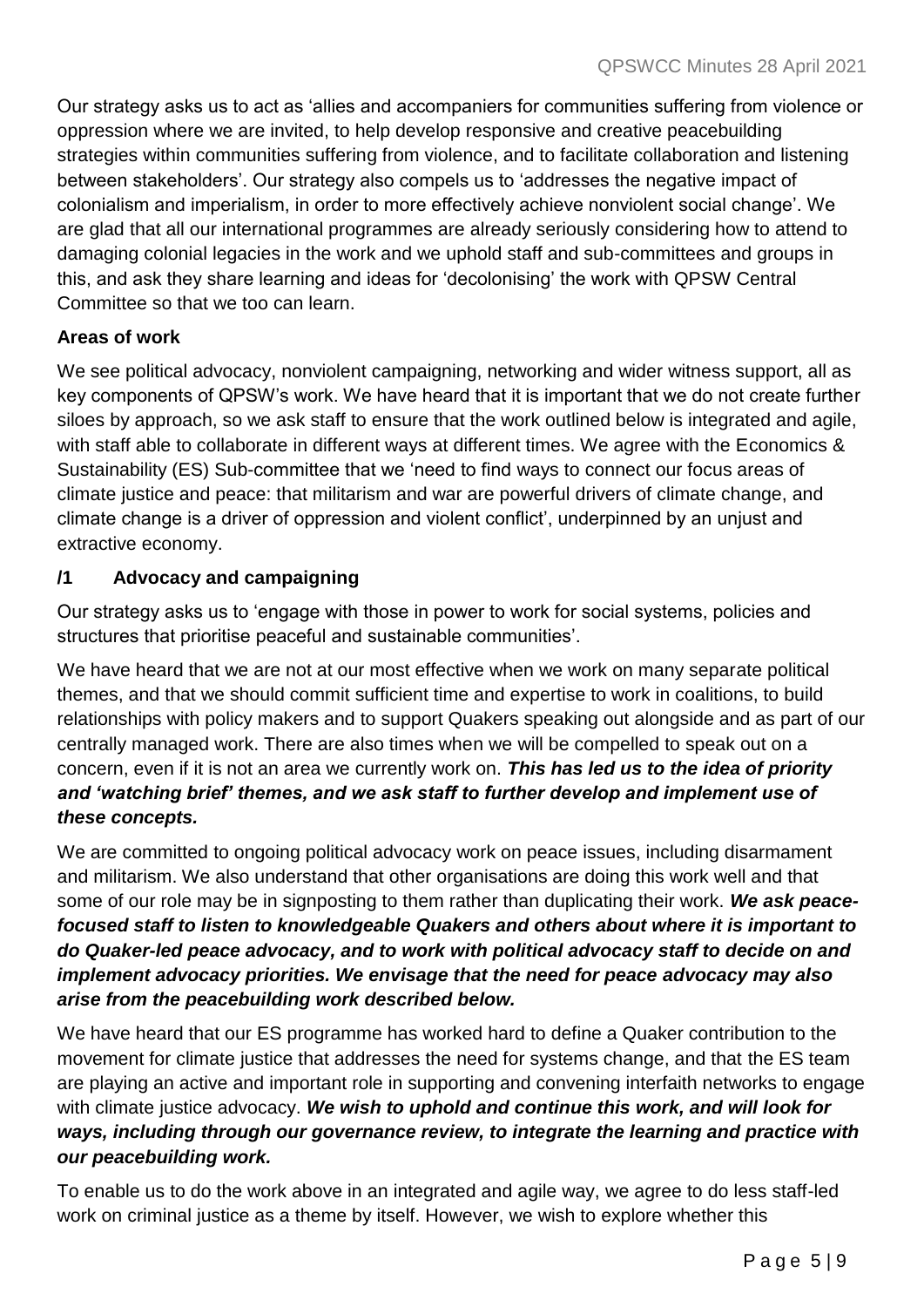Our strategy asks us to act as 'allies and accompaniers for communities suffering from violence or oppression where we are invited, to help develop responsive and creative peacebuilding strategies within communities suffering from violence, and to facilitate collaboration and listening between stakeholders'. Our strategy also compels us to 'addresses the negative impact of colonialism and imperialism, in order to more effectively achieve nonviolent social change'. We are glad that all our international programmes are already seriously considering how to attend to damaging colonial legacies in the work and we uphold staff and sub-committees and groups in this, and ask they share learning and ideas for 'decolonising' the work with QPSW Central Committee so that we too can learn.

## **Areas of work**

We see political advocacy, nonviolent campaigning, networking and wider witness support, all as key components of QPSW's work. We have heard that it is important that we do not create further siloes by approach, so we ask staff to ensure that the work outlined below is integrated and agile, with staff able to collaborate in different ways at different times. We agree with the Economics & Sustainability (ES) Sub-committee that we 'need to find ways to connect our focus areas of climate justice and peace: that militarism and war are powerful drivers of climate change, and climate change is a driver of oppression and violent conflict', underpinned by an unjust and extractive economy.

## **/1 Advocacy and campaigning**

Our strategy asks us to 'engage with those in power to work for social systems, policies and structures that prioritise peaceful and sustainable communities'.

We have heard that we are not at our most effective when we work on many separate political themes, and that we should commit sufficient time and expertise to work in coalitions, to build relationships with policy makers and to support Quakers speaking out alongside and as part of our centrally managed work. There are also times when we will be compelled to speak out on a concern, even if it is not an area we currently work on. *This has led us to the idea of priority and 'watching brief' themes, and we ask staff to further develop and implement use of these concepts.*

We are committed to ongoing political advocacy work on peace issues, including disarmament and militarism. We also understand that other organisations are doing this work well and that some of our role may be in signposting to them rather than duplicating their work. *We ask peacefocused staff to listen to knowledgeable Quakers and others about where it is important to do Quaker-led peace advocacy, and to work with political advocacy staff to decide on and implement advocacy priorities. We envisage that the need for peace advocacy may also arise from the peacebuilding work described below.* 

We have heard that our ES programme has worked hard to define a Quaker contribution to the movement for climate justice that addresses the need for systems change, and that the ES team are playing an active and important role in supporting and convening interfaith networks to engage with climate justice advocacy. *We wish to uphold and continue this work, and will look for ways, including through our governance review, to integrate the learning and practice with our peacebuilding work.* 

To enable us to do the work above in an integrated and agile way, we agree to do less staff-led work on criminal justice as a theme by itself. However, we wish to explore whether this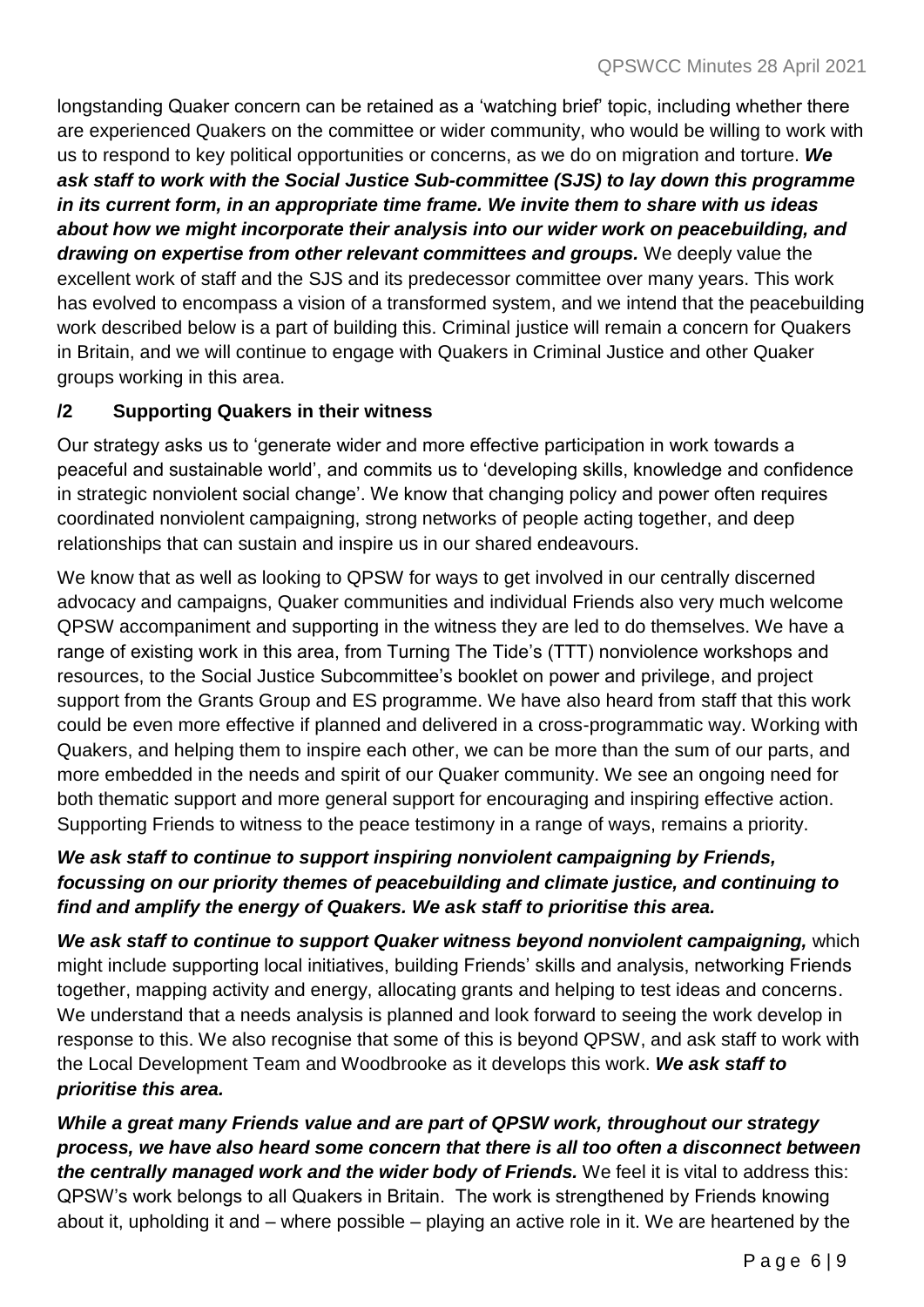longstanding Quaker concern can be retained as a 'watching brief' topic, including whether there are experienced Quakers on the committee or wider community, who would be willing to work with us to respond to key political opportunities or concerns, as we do on migration and torture. *We ask staff to work with the Social Justice Sub-committee (SJS) to lay down this programme in its current form, in an appropriate time frame. We invite them to share with us ideas about how we might incorporate their analysis into our wider work on peacebuilding, and drawing on expertise from other relevant committees and groups.* We deeply value the excellent work of staff and the SJS and its predecessor committee over many years. This work has evolved to encompass a vision of a transformed system, and we intend that the peacebuilding work described below is a part of building this. Criminal justice will remain a concern for Quakers in Britain, and we will continue to engage with Quakers in Criminal Justice and other Quaker groups working in this area.

## **/2 Supporting Quakers in their witness**

Our strategy asks us to 'generate wider and more effective participation in work towards a peaceful and sustainable world', and commits us to 'developing skills, knowledge and confidence in strategic nonviolent social change'. We know that changing policy and power often requires coordinated nonviolent campaigning, strong networks of people acting together, and deep relationships that can sustain and inspire us in our shared endeavours.

We know that as well as looking to QPSW for ways to get involved in our centrally discerned advocacy and campaigns, Quaker communities and individual Friends also very much welcome QPSW accompaniment and supporting in the witness they are led to do themselves. We have a range of existing work in this area, from Turning The Tide's (TTT) nonviolence workshops and resources, to the Social Justice Subcommittee's booklet on power and privilege, and project support from the Grants Group and ES programme. We have also heard from staff that this work could be even more effective if planned and delivered in a cross-programmatic way. Working with Quakers, and helping them to inspire each other, we can be more than the sum of our parts, and more embedded in the needs and spirit of our Quaker community. We see an ongoing need for both thematic support and more general support for encouraging and inspiring effective action. Supporting Friends to witness to the peace testimony in a range of ways, remains a priority.

# *We ask staff to continue to support inspiring nonviolent campaigning by Friends, focussing on our priority themes of peacebuilding and climate justice, and continuing to find and amplify the energy of Quakers. We ask staff to prioritise this area.*

*We ask staff to continue to support Quaker witness beyond nonviolent campaigning,* which might include supporting local initiatives, building Friends' skills and analysis, networking Friends together, mapping activity and energy, allocating grants and helping to test ideas and concerns. We understand that a needs analysis is planned and look forward to seeing the work develop in response to this. We also recognise that some of this is beyond QPSW, and ask staff to work with the Local Development Team and Woodbrooke as it develops this work. *We ask staff to prioritise this area.*

*While a great many Friends value and are part of QPSW work, throughout our strategy process, we have also heard some concern that there is all too often a disconnect between the centrally managed work and the wider body of Friends.* We feel it is vital to address this: QPSW's work belongs to all Quakers in Britain. The work is strengthened by Friends knowing about it, upholding it and – where possible – playing an active role in it. We are heartened by the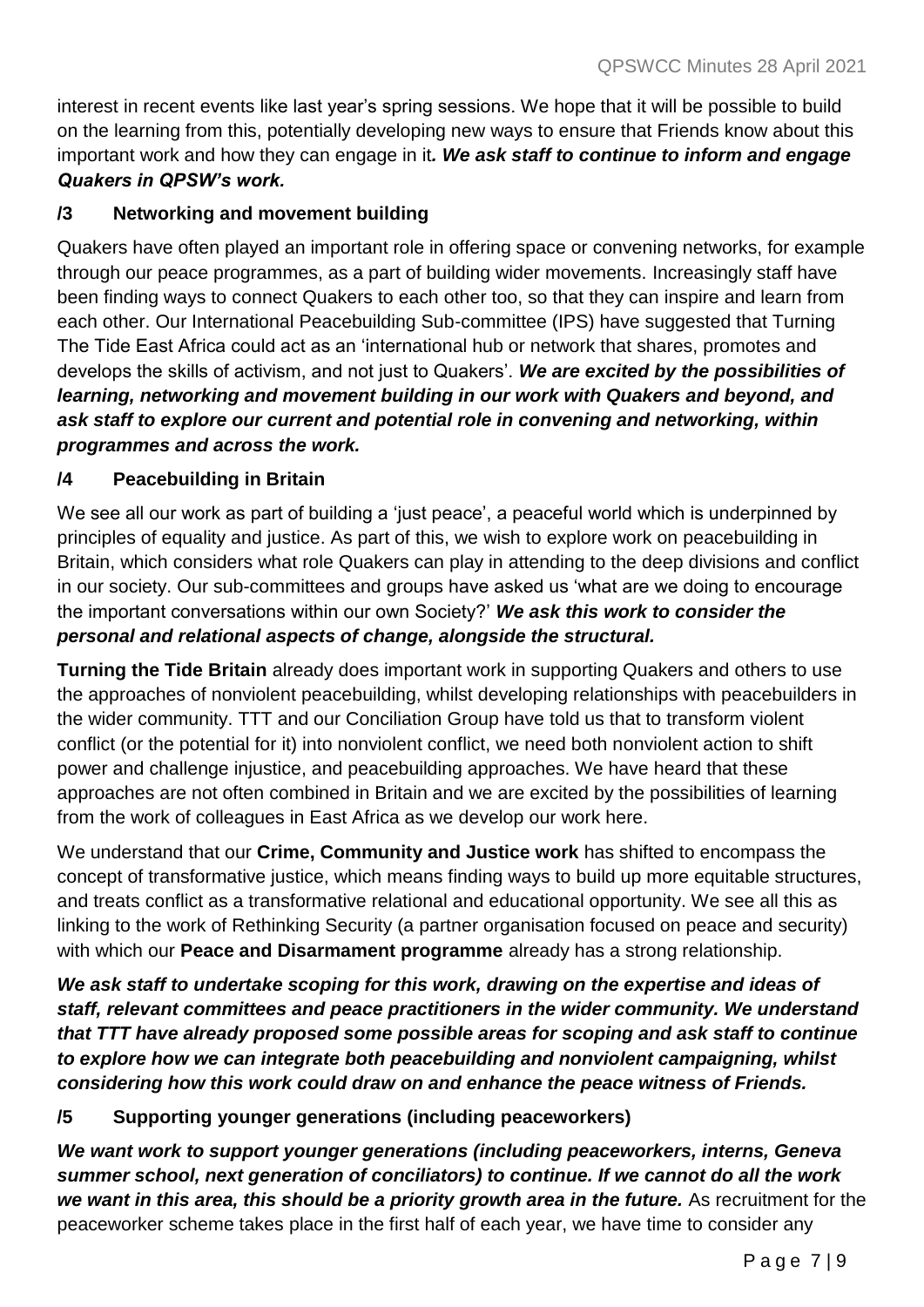interest in recent events like last year's spring sessions. We hope that it will be possible to build on the learning from this, potentially developing new ways to ensure that Friends know about this important work and how they can engage in it*. We ask staff to continue to inform and engage Quakers in QPSW's work.*

# **/3 Networking and movement building**

Quakers have often played an important role in offering space or convening networks, for example through our peace programmes, as a part of building wider movements. Increasingly staff have been finding ways to connect Quakers to each other too, so that they can inspire and learn from each other. Our International Peacebuilding Sub-committee (IPS) have suggested that Turning The Tide East Africa could act as an 'international hub or network that shares, promotes and develops the skills of activism, and not just to Quakers'. *We are excited by the possibilities of learning, networking and movement building in our work with Quakers and beyond, and ask staff to explore our current and potential role in convening and networking, within programmes and across the work.* 

#### **/4 Peacebuilding in Britain**

We see all our work as part of building a 'just peace', a peaceful world which is underpinned by principles of equality and justice. As part of this, we wish to explore work on peacebuilding in Britain, which considers what role Quakers can play in attending to the deep divisions and conflict in our society. Our sub-committees and groups have asked us 'what are we doing to encourage the important conversations within our own Society?' *We ask this work to consider the personal and relational aspects of change, alongside the structural.*

**Turning the Tide Britain** already does important work in supporting Quakers and others to use the approaches of nonviolent peacebuilding, whilst developing relationships with peacebuilders in the wider community. TTT and our Conciliation Group have told us that to transform violent conflict (or the potential for it) into nonviolent conflict, we need both nonviolent action to shift power and challenge injustice, and peacebuilding approaches. We have heard that these approaches are not often combined in Britain and we are excited by the possibilities of learning from the work of colleagues in East Africa as we develop our work here.

We understand that our **Crime, Community and Justice work** has shifted to encompass the concept of transformative justice, which means finding ways to build up more equitable structures, and treats conflict as a transformative relational and educational opportunity. We see all this as linking to the work of Rethinking Security (a partner organisation focused on peace and security) with which our **Peace and Disarmament programme** already has a strong relationship.

*We ask staff to undertake scoping for this work, drawing on the expertise and ideas of staff, relevant committees and peace practitioners in the wider community. We understand that TTT have already proposed some possible areas for scoping and ask staff to continue to explore how we can integrate both peacebuilding and nonviolent campaigning, whilst considering how this work could draw on and enhance the peace witness of Friends.*

#### **/5 Supporting younger generations (including peaceworkers)**

*We want work to support younger generations (including peaceworkers, interns, Geneva summer school, next generation of conciliators) to continue. If we cannot do all the work we want in this area, this should be a priority growth area in the future.* As recruitment for the peaceworker scheme takes place in the first half of each year, we have time to consider any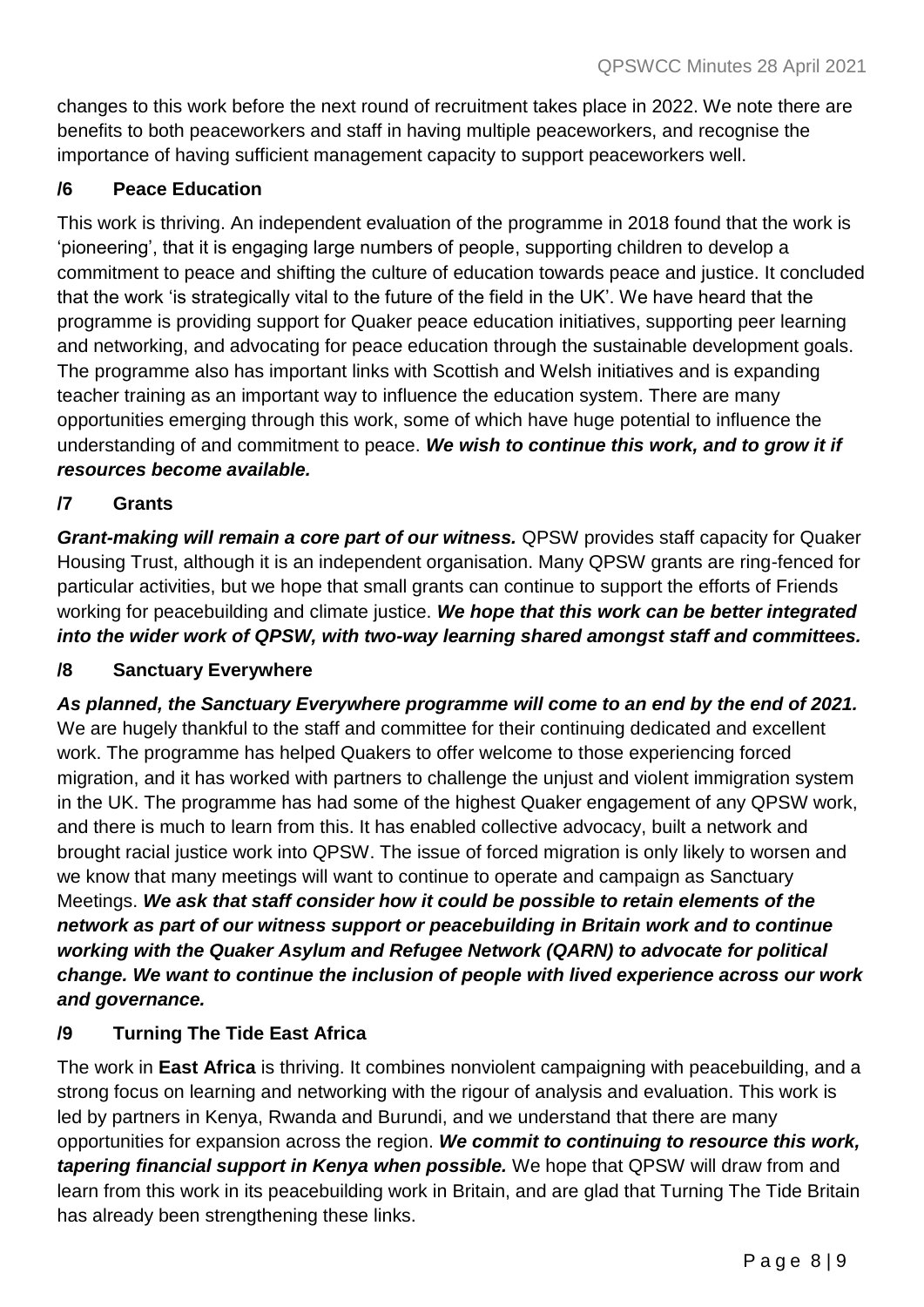changes to this work before the next round of recruitment takes place in 2022. We note there are benefits to both peaceworkers and staff in having multiple peaceworkers, and recognise the importance of having sufficient management capacity to support peaceworkers well.

## **/6 Peace Education**

This work is thriving. An independent evaluation of the programme in 2018 found that the work is 'pioneering', that it is engaging large numbers of people, supporting children to develop a commitment to peace and shifting the culture of education towards peace and justice. It concluded that the work 'is strategically vital to the future of the field in the UK'. We have heard that the programme is providing support for Quaker peace education initiatives, supporting peer learning and networking, and advocating for peace education through the sustainable development goals. The programme also has important links with Scottish and Welsh initiatives and is expanding teacher training as an important way to influence the education system. There are many opportunities emerging through this work, some of which have huge potential to influence the understanding of and commitment to peace. *We wish to continue this work, and to grow it if resources become available.*

## **/7 Grants**

*Grant-making will remain a core part of our witness.* QPSW provides staff capacity for Quaker Housing Trust, although it is an independent organisation. Many QPSW grants are ring-fenced for particular activities, but we hope that small grants can continue to support the efforts of Friends working for peacebuilding and climate justice. *We hope that this work can be better integrated into the wider work of QPSW, with two-way learning shared amongst staff and committees.*

#### **/8 Sanctuary Everywhere**

*As planned, the Sanctuary Everywhere programme will come to an end by the end of 2021.* We are hugely thankful to the staff and committee for their continuing dedicated and excellent work. The programme has helped Quakers to offer welcome to those experiencing forced migration, and it has worked with partners to challenge the unjust and violent immigration system in the UK. The programme has had some of the highest Quaker engagement of any QPSW work, and there is much to learn from this. It has enabled collective advocacy, built a network and brought racial justice work into QPSW. The issue of forced migration is only likely to worsen and we know that many meetings will want to continue to operate and campaign as Sanctuary Meetings. *We ask that staff consider how it could be possible to retain elements of the network as part of our witness support or peacebuilding in Britain work and to continue working with the Quaker Asylum and Refugee Network (QARN) to advocate for political change. We want to continue the inclusion of people with lived experience across our work and governance.* 

# **/9 Turning The Tide East Africa**

The work in **East Africa** is thriving. It combines nonviolent campaigning with peacebuilding, and a strong focus on learning and networking with the rigour of analysis and evaluation. This work is led by partners in Kenya, Rwanda and Burundi, and we understand that there are many opportunities for expansion across the region. *We commit to continuing to resource this work, tapering financial support in Kenya when possible.* We hope that QPSW will draw from and learn from this work in its peacebuilding work in Britain, and are glad that Turning The Tide Britain has already been strengthening these links.